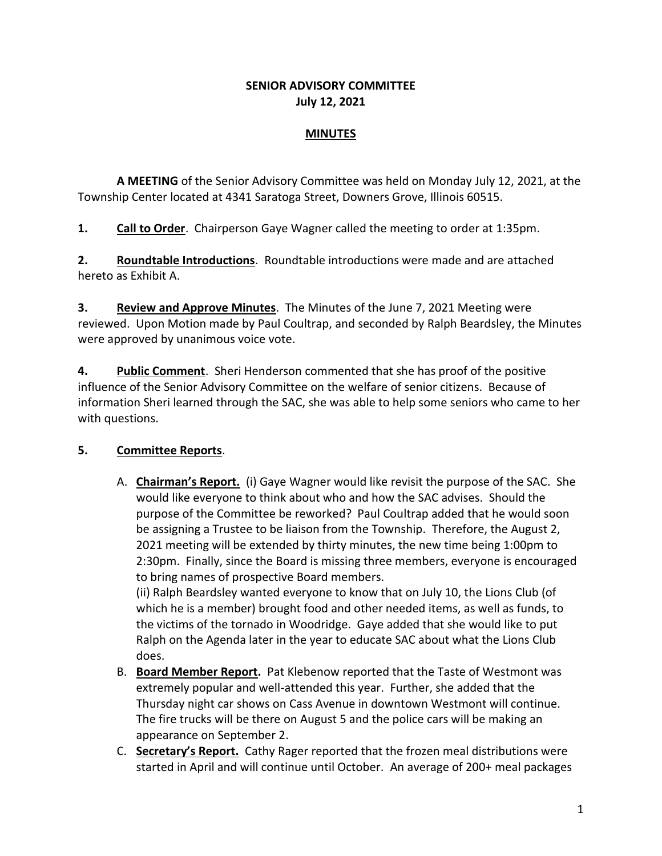#### **SENIOR ADVISORY COMMITTEE July 12, 2021**

#### **MINUTES**

**A MEETING** of the Senior Advisory Committee was held on Monday July 12, 2021, at the Township Center located at 4341 Saratoga Street, Downers Grove, Illinois 60515.

**1. Call to Order**. Chairperson Gaye Wagner called the meeting to order at 1:35pm.

**2. Roundtable Introductions**. Roundtable introductions were made and are attached hereto as Exhibit A.

**3. Review and Approve Minutes**. The Minutes of the June 7, 2021 Meeting were reviewed. Upon Motion made by Paul Coultrap, and seconded by Ralph Beardsley, the Minutes were approved by unanimous voice vote.

**4. Public Comment**. Sheri Henderson commented that she has proof of the positive influence of the Senior Advisory Committee on the welfare of senior citizens. Because of information Sheri learned through the SAC, she was able to help some seniors who came to her with questions.

# **5. Committee Reports**.

A. **Chairman's Report.** (i) Gaye Wagner would like revisit the purpose of the SAC. She would like everyone to think about who and how the SAC advises. Should the purpose of the Committee be reworked? Paul Coultrap added that he would soon be assigning a Trustee to be liaison from the Township. Therefore, the August 2, 2021 meeting will be extended by thirty minutes, the new time being 1:00pm to 2:30pm. Finally, since the Board is missing three members, everyone is encouraged to bring names of prospective Board members.

(ii) Ralph Beardsley wanted everyone to know that on July 10, the Lions Club (of which he is a member) brought food and other needed items, as well as funds, to the victims of the tornado in Woodridge. Gaye added that she would like to put Ralph on the Agenda later in the year to educate SAC about what the Lions Club does.

- B. **Board Member Report.** Pat Klebenow reported that the Taste of Westmont was extremely popular and well-attended this year. Further, she added that the Thursday night car shows on Cass Avenue in downtown Westmont will continue. The fire trucks will be there on August 5 and the police cars will be making an appearance on September 2.
- C. **Secretary's Report.** Cathy Rager reported that the frozen meal distributions were started in April and will continue until October. An average of 200+ meal packages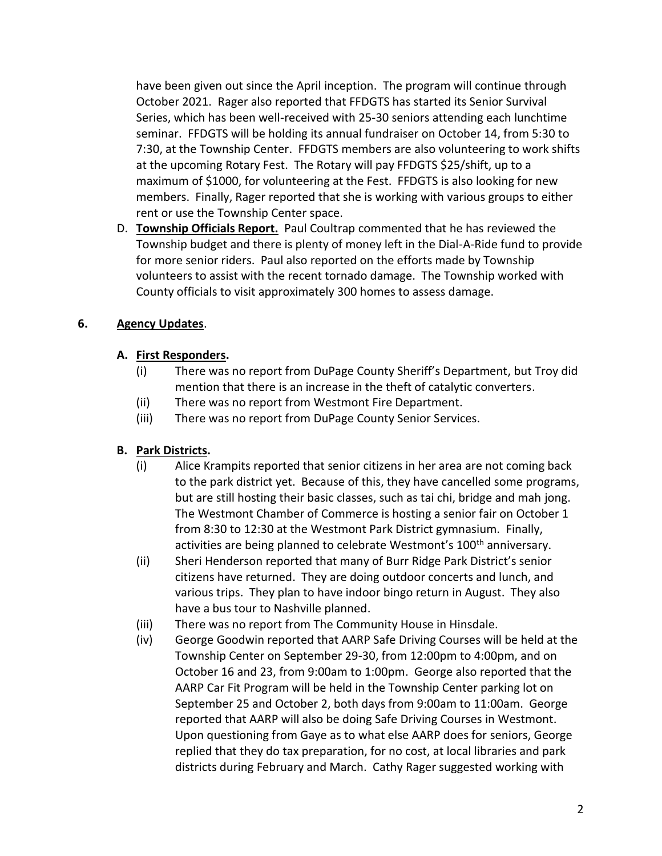have been given out since the April inception. The program will continue through October 2021. Rager also reported that FFDGTS has started its Senior Survival Series, which has been well-received with 25-30 seniors attending each lunchtime seminar. FFDGTS will be holding its annual fundraiser on October 14, from 5:30 to 7:30, at the Township Center. FFDGTS members are also volunteering to work shifts at the upcoming Rotary Fest. The Rotary will pay FFDGTS \$25/shift, up to a maximum of \$1000, for volunteering at the Fest. FFDGTS is also looking for new members. Finally, Rager reported that she is working with various groups to either rent or use the Township Center space.

D. **Township Officials Report.** Paul Coultrap commented that he has reviewed the Township budget and there is plenty of money left in the Dial-A-Ride fund to provide for more senior riders. Paul also reported on the efforts made by Township volunteers to assist with the recent tornado damage. The Township worked with County officials to visit approximately 300 homes to assess damage.

### **6. Agency Updates**.

### **A. First Responders.**

- (i) There was no report from DuPage County Sheriff's Department, but Troy did mention that there is an increase in the theft of catalytic converters.
- (ii) There was no report from Westmont Fire Department.
- (iii) There was no report from DuPage County Senior Services.

# **B. Park Districts.**

- (i) Alice Krampits reported that senior citizens in her area are not coming back to the park district yet. Because of this, they have cancelled some programs, but are still hosting their basic classes, such as tai chi, bridge and mah jong. The Westmont Chamber of Commerce is hosting a senior fair on October 1 from 8:30 to 12:30 at the Westmont Park District gymnasium. Finally, activities are being planned to celebrate Westmont's 100<sup>th</sup> anniversary.
- (ii) Sheri Henderson reported that many of Burr Ridge Park District's senior citizens have returned. They are doing outdoor concerts and lunch, and various trips. They plan to have indoor bingo return in August. They also have a bus tour to Nashville planned.
- (iii) There was no report from The Community House in Hinsdale.
- (iv) George Goodwin reported that AARP Safe Driving Courses will be held at the Township Center on September 29-30, from 12:00pm to 4:00pm, and on October 16 and 23, from 9:00am to 1:00pm. George also reported that the AARP Car Fit Program will be held in the Township Center parking lot on September 25 and October 2, both days from 9:00am to 11:00am. George reported that AARP will also be doing Safe Driving Courses in Westmont. Upon questioning from Gaye as to what else AARP does for seniors, George replied that they do tax preparation, for no cost, at local libraries and park districts during February and March. Cathy Rager suggested working with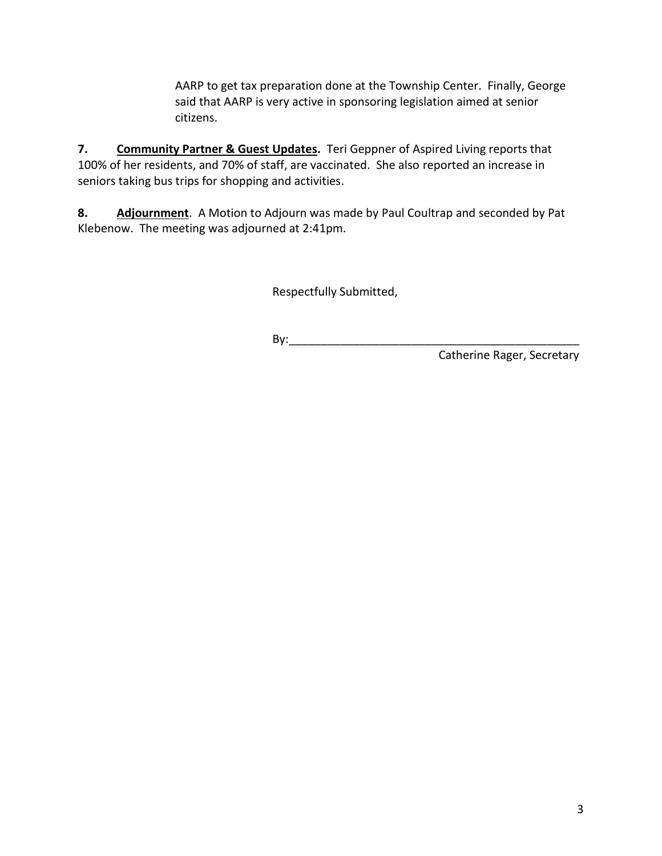AARP to get tax preparation done at the Township Center. Finally, George said that AARP is very active in sponsoring legislation aimed at senior citizens.

**7. Community Partner & Guest Updates.** Teri Geppner of Aspired Living reports that 100% of her residents, and 70% of staff, are vaccinated. She also reported an increase in seniors taking bus trips for shopping and activities.

**8. Adjournment**. A Motion to Adjourn was made by Paul Coultrap and seconded by Pat Klebenow. The meeting was adjourned at 2:41pm.

Respectfully Submitted,

By:\_\_\_\_\_\_\_\_\_\_\_\_\_\_\_\_\_\_\_\_\_\_\_\_\_\_\_\_\_\_\_\_\_\_\_\_\_\_\_\_\_\_\_\_\_

Catherine Rager, Secretary